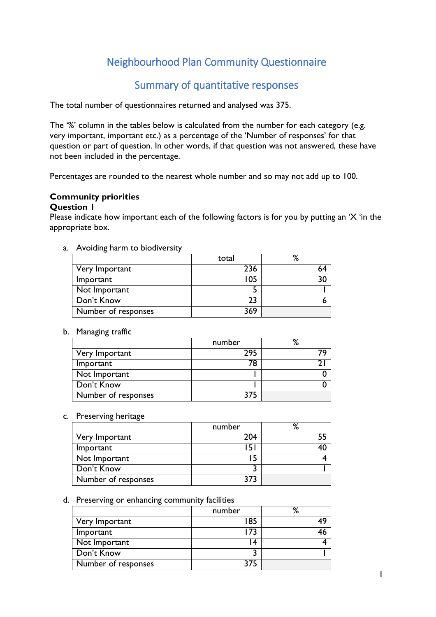# Neighbourhood Plan Community Questionnaire

## Summary of quantitative responses

The total number of questionnaires returned and analysed was 375.

The '%' column in the tables below is calculated from the number for each category (e.g. very important, important etc.) as a percentage of the 'Number of responses' for that question or part of question. In other words, if that question was not answered, these have not been included in the percentage.

Percentages are rounded to the nearest whole number and so may not add up to 100.

## **Community priorities**

#### **Question 1**

Please indicate how important each of the following factors is for you by putting an 'X 'in the appropriate box.

a. Avoiding harm to biodiversity

|                     | total | %  |
|---------------------|-------|----|
| Very Important      | 236   | 64 |
| Important           | 105   |    |
| Not Important       |       |    |
| Don't Know          | 23    |    |
| Number of responses | 369   |    |

#### b. Managing traffic

|                     | number | % |
|---------------------|--------|---|
| Very Important      | 295    |   |
| Important           | 78     |   |
| Not Important       |        |   |
| Don't Know          |        |   |
| Number of responses |        |   |

#### c. Preserving heritage

|                     | number | % |
|---------------------|--------|---|
| Very Important      | 204    |   |
| Important           | 151    |   |
| Not Important       |        |   |
| Don't Know          |        |   |
| Number of responses | 373    |   |

#### d. Preserving or enhancing community facilities

|                     | number | о, |
|---------------------|--------|----|
| Very Important      | 85     |    |
| Important           | 73     |    |
| Not Important       | 4      |    |
| Don't Know          |        |    |
| Number of responses |        |    |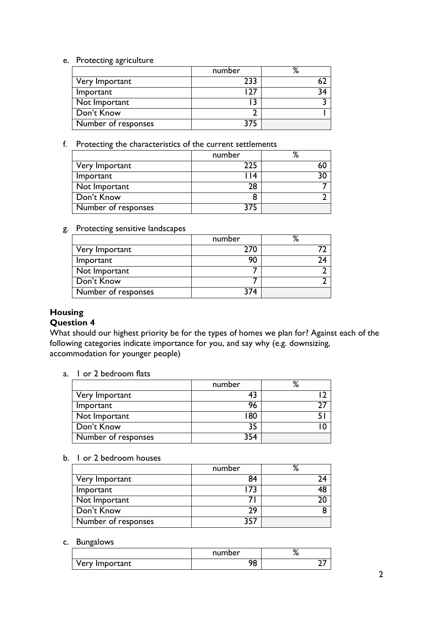#### e. Protecting agriculture

|                     | number | % |
|---------------------|--------|---|
| Very Important      | 233    |   |
| Important           |        |   |
| Not Important       |        |   |
| Don't Know          |        |   |
| Number of responses |        |   |

## f. Protecting the characteristics of the current settlements

|                     | number | о,<br>/٥ |
|---------------------|--------|----------|
| Very Important      | 225    |          |
| Important           | 14     | ٦Λ       |
| Not Important       | 28     |          |
| Don't Know          |        |          |
| Number of responses | 375    |          |

#### g. Protecting sensitive landscapes

|                     | number | O. |
|---------------------|--------|----|
| Very Important      | 270    |    |
| Important           | 90     |    |
| Not Important       |        |    |
| Don't Know          |        |    |
| Number of responses | 374    |    |

## **Housing**

## **Question 4**

What should our highest priority be for the types of homes we plan for? Against each of the following categories indicate importance for you, and say why (e.g. downsizing, accommodation for younger people)

a. 1 or 2 bedroom flats

|                     | number | % |
|---------------------|--------|---|
| Very Important      | 43     |   |
| Important           | 96     |   |
| Not Important       | 80     |   |
| Don't Know          | 35     |   |
| Number of responses | 354    |   |

#### b. 1 or 2 bedroom houses

|                     | number | $\mathbf{o}_{\ell}$ |
|---------------------|--------|---------------------|
| Very Important      | 84     |                     |
| Important           |        |                     |
| Not Important       |        |                     |
| Don't Know          | 29     |                     |
| Number of responses |        |                     |

#### c. Bungalows

|                | number     | O. |
|----------------|------------|----|
| Very Important | n n<br>. U |    |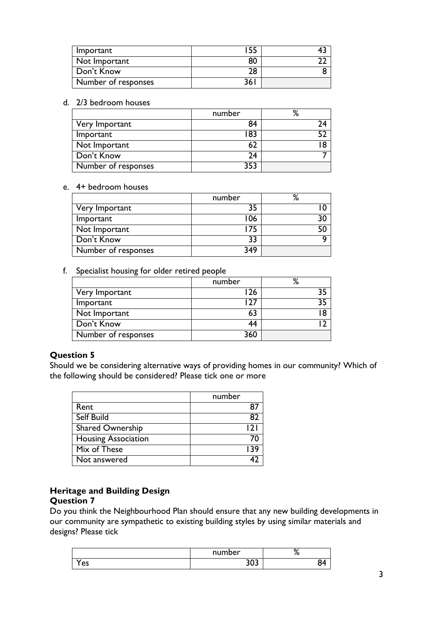| Important           |    |  |
|---------------------|----|--|
| Not Important       | ðU |  |
| Don't Know          | 28 |  |
| Number of responses | 36 |  |

#### d. 2/3 bedroom houses

|                     | number | % |
|---------------------|--------|---|
| Very Important      | 84     |   |
| Important           | 183    |   |
| Not Important       |        |   |
| Don't Know          | 74     |   |
| Number of responses | つにこ    |   |

#### e. 4+ bedroom houses

|                            | number | % |
|----------------------------|--------|---|
| Very Important             | 35     |   |
| Important                  | 106    |   |
| Not Important              |        |   |
| Don't Know                 | 33     |   |
| <b>Number of responses</b> | 349    |   |

#### f. Specialist housing for older retired people

|                     | number | % |
|---------------------|--------|---|
| Very Important      | 26     |   |
| Important           |        |   |
| Not Important       | 63     |   |
| Don't Know          | 44     |   |
| Number of responses | 360    |   |

### **Question 5**

Should we be considering alternative ways of providing homes in our community? Which of the following should be considered? Please tick one or more

|                            | number |
|----------------------------|--------|
| Rent                       |        |
| <b>Self Build</b>          | 87     |
| Shared Ownership           | 121    |
| <b>Housing Association</b> |        |
| Mix of These               | । २९   |
| Not answered               |        |

## **Heritage and Building Design**

### **Question 7**

Do you think the Neighbourhood Plan should ensure that any new building developments in our community are sympathetic to existing building styles by using similar materials and designs? Please tick

|    | number     | 70 |
|----|------------|----|
| es | ,,,<br>JUJ |    |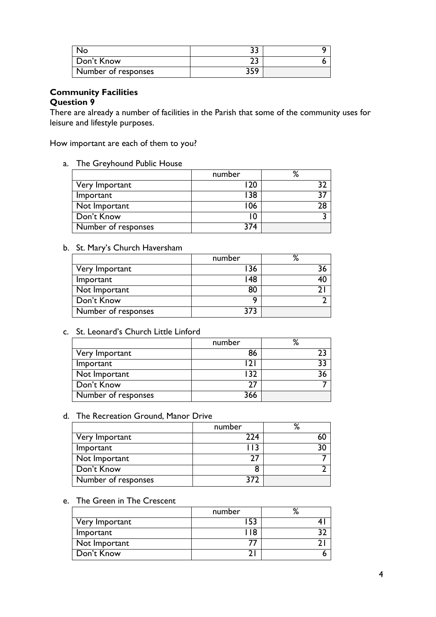| No                  |      |  |
|---------------------|------|--|
| Don't Know          |      |  |
| Number of responses | ם זכ |  |

#### **Community Facilities Question 9**

There are already a number of facilities in the Parish that some of the community uses for leisure and lifestyle purposes.

How important are each of them to you?

a. The Greyhound Public House

|                     | number | %  |
|---------------------|--------|----|
| Very Important      |        |    |
| Important           | 38     |    |
| Not Important       | 06     | 78 |
| Don't Know          |        |    |
| Number of responses | 274    |    |

### b. St. Mary's Church Haversham

|                     | number | ℅  |
|---------------------|--------|----|
| Very Important      | 36     |    |
| Important           | 148    | 40 |
| Not Important       | 80     |    |
| Don't Know          |        |    |
| Number of responses | २7२    |    |

### c. St. Leonard's Church Little Linford

|                            | number | %  |
|----------------------------|--------|----|
| Very Important             | 86     |    |
| Important                  |        | 22 |
| Not Important              |        |    |
| Don't Know                 |        |    |
| <b>Number of responses</b> | 366    |    |

#### d. The Recreation Ground, Manor Drive

|                     | number | Ο, |
|---------------------|--------|----|
| Very Important      | 224    |    |
| Important           |        |    |
| Not Important       |        |    |
| Don't Know          |        |    |
| Number of responses | 377    |    |

#### e. The Green in The Crescent

|                | number | Ο. |
|----------------|--------|----|
| Very Important |        |    |
| Important      |        |    |
| Not Important  |        |    |
| Don't Know     |        |    |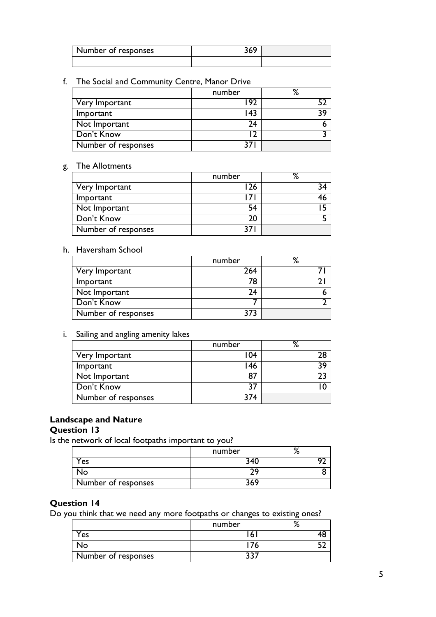| I Number of responses |  |
|-----------------------|--|
|                       |  |

## f. The Social and Community Centre, Manor Drive

|                     | number | ℅   |
|---------------------|--------|-----|
| Very Important      | 97     |     |
| Important           | 143    | 0 כ |
| Not Important       | 74     |     |
| Don't Know          |        |     |
| Number of responses |        |     |

## g. The Allotments

|                     | number | о, |
|---------------------|--------|----|
| Very Important      | 26     |    |
| Important           |        |    |
| Not Important       | 54     |    |
| Don't Know          | 20     |    |
| Number of responses |        |    |

### h. Haversham School

|                     | number | ℅ |
|---------------------|--------|---|
| Very Important      | 264    |   |
| Important           | 78     |   |
| Not Important       | 74     |   |
| Don't Know          |        |   |
| Number of responses |        |   |

#### i. Sailing and angling amenity lakes

|                     | number | %  |
|---------------------|--------|----|
| Very Important      | 104    | 78 |
| Important           | l 46   | 0כ |
| Not Important       |        |    |
| Don't Know          | 37     |    |
| Number of responses | 374    |    |

### **Landscape and Nature**

## **Question 13**

Is the network of local footpaths important to you?

|                     | number |  |
|---------------------|--------|--|
| Yes                 | ∩ ∧ ר  |  |
| חצ                  |        |  |
| Number of responses |        |  |

## **Question 14**

Do you think that we need any more footpaths or changes to existing ones?

|                        | number |  |
|------------------------|--------|--|
| $Y_{\text{es}}$        | 6      |  |
| $\mathcal{N}_{\Omega}$ | 76     |  |
| Number of responses    | JJ     |  |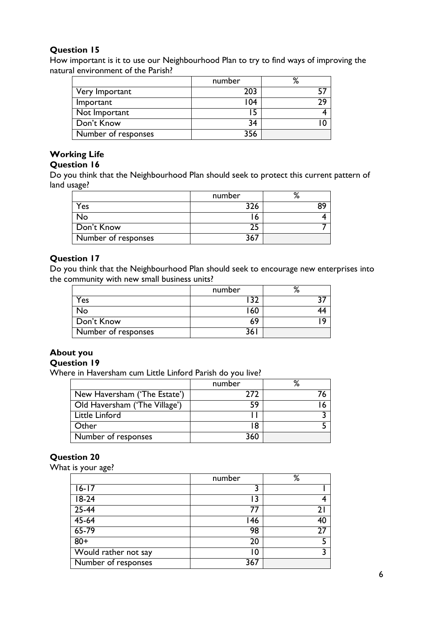## **Question 15**

How important is it to use our Neighbourhood Plan to try to find ways of improving the natural environment of the Parish?

|                     | number | %  |
|---------------------|--------|----|
| Very Important      | 203    |    |
| Important           | 104    | םר |
| Not Important       | 15     |    |
| Don't Know          | 34     |    |
| Number of responses | 356    |    |

## **Working Life**

## **Question 16**

Do you think that the Neighbourhood Plan should seek to protect this current pattern of land usage?

|                     | number |  |
|---------------------|--------|--|
| Yes                 | 326    |  |
| No                  |        |  |
| Don't Know          | ົ່າ.   |  |
| Number of responses | 367    |  |

## **Question 17**

Do you think that the Neighbourhood Plan should seek to encourage new enterprises into the community with new small business units?

|                     | number |  |
|---------------------|--------|--|
| Yes                 | วา     |  |
| No                  | 60     |  |
| Don't Know          | 69     |  |
| Number of responses | 36 I   |  |

## **About you**

## **Question 19**

Where in Haversham cum Little Linford Parish do you live?

|                               | number |  |
|-------------------------------|--------|--|
| New Haversham ('The Estate')  | 777    |  |
| Old Haversham ('The Village') | 59     |  |
| Little Linford                |        |  |
| <b>Other</b>                  | 18     |  |
| <b>Number of responses</b>    | 360    |  |

## **Question 20**

What is your age?

| number | %  |
|--------|----|
| 3      |    |
| 3      |    |
| 77     |    |
| 146    | 40 |
| 98     |    |
| 20     |    |
| 10     |    |
| 367    |    |
|        |    |